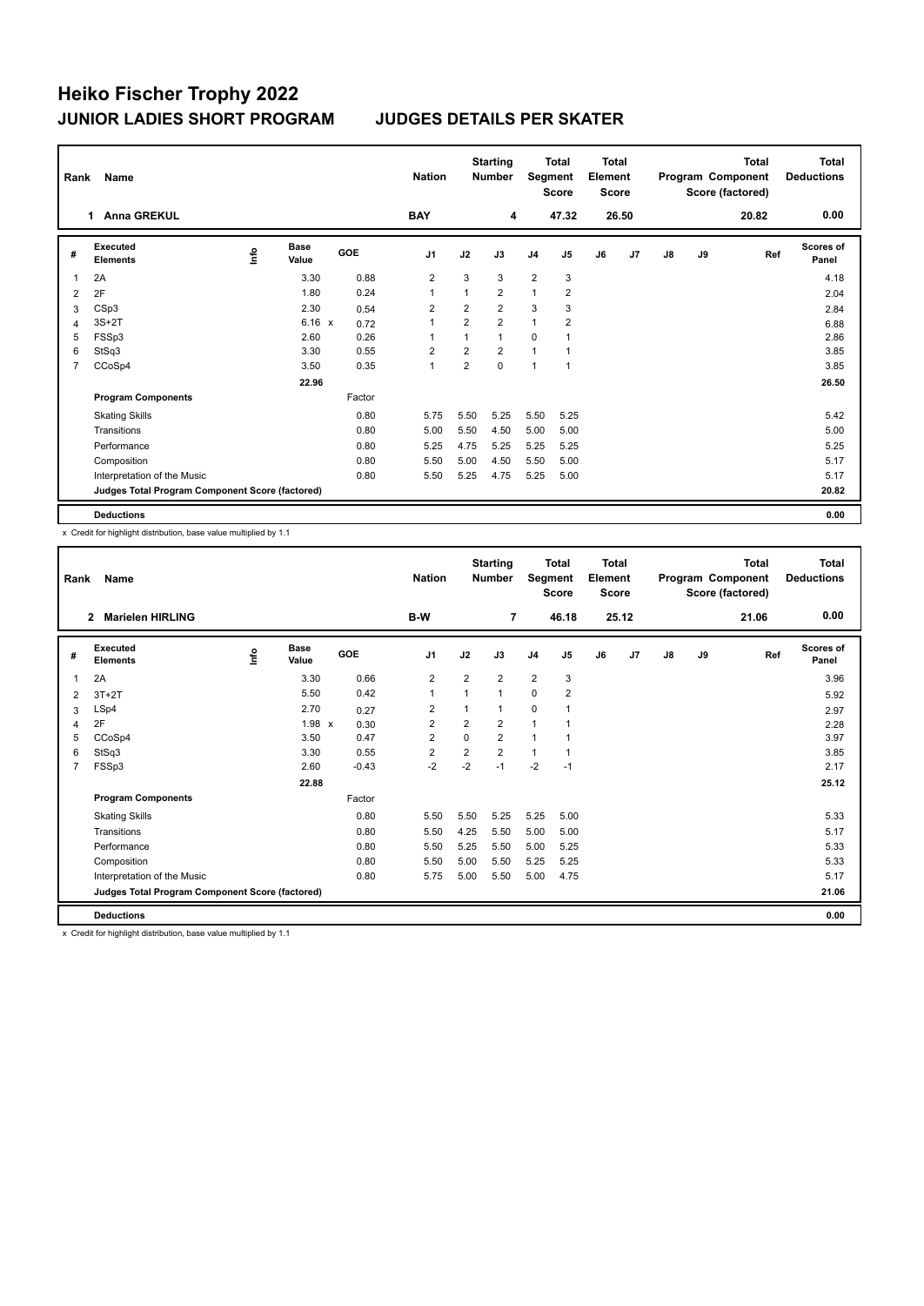| Rank           | Name                                            |      |                      |            | <b>Nation</b>  |                | <b>Starting</b><br><b>Number</b> |                | <b>Total</b><br>Segment<br><b>Score</b> |    | <b>Total</b><br>Element<br><b>Score</b> |    |    | <b>Total</b><br>Program Component<br>Score (factored) | Total<br><b>Deductions</b> |
|----------------|-------------------------------------------------|------|----------------------|------------|----------------|----------------|----------------------------------|----------------|-----------------------------------------|----|-----------------------------------------|----|----|-------------------------------------------------------|----------------------------|
|                | <b>Anna GREKUL</b><br>1.                        |      |                      |            | <b>BAY</b>     |                | 4                                |                | 47.32                                   |    | 26.50                                   |    |    | 20.82                                                 | 0.00                       |
| #              | <b>Executed</b><br><b>Elements</b>              | ١nfo | <b>Base</b><br>Value | <b>GOE</b> | J <sub>1</sub> | J2             | J3                               | J <sub>4</sub> | J5                                      | J6 | J7                                      | J8 | J9 | Ref                                                   | Scores of<br>Panel         |
| 1              | 2A                                              |      | 3.30                 | 0.88       | $\overline{2}$ | 3              | 3                                | $\overline{2}$ | 3                                       |    |                                         |    |    |                                                       | 4.18                       |
| 2              | 2F                                              |      | 1.80                 | 0.24       | $\overline{1}$ | 1              | $\overline{2}$                   | 1              | $\overline{2}$                          |    |                                         |    |    |                                                       | 2.04                       |
| 3              | CSp3                                            |      | 2.30                 | 0.54       | $\overline{2}$ | $\overline{2}$ | $\overline{2}$                   | 3              | 3                                       |    |                                         |    |    |                                                       | 2.84                       |
| $\overline{4}$ | $3S+2T$                                         |      | $6.16 \times$        | 0.72       | $\overline{1}$ | $\overline{2}$ | $\overline{2}$                   | $\mathbf{1}$   | $\overline{2}$                          |    |                                         |    |    |                                                       | 6.88                       |
| 5              | FSSp3                                           |      | 2.60                 | 0.26       | 1              | $\mathbf{1}$   | $\mathbf{1}$                     | 0              |                                         |    |                                         |    |    |                                                       | 2.86                       |
| 6              | StSq3                                           |      | 3.30                 | 0.55       | $\overline{2}$ | $\overline{2}$ | $\overline{2}$                   | 1              |                                         |    |                                         |    |    |                                                       | 3.85                       |
| $\overline{7}$ | CCoSp4                                          |      | 3.50                 | 0.35       | $\overline{1}$ | $\overline{2}$ | $\mathbf 0$                      | 1              | $\overline{1}$                          |    |                                         |    |    |                                                       | 3.85                       |
|                |                                                 |      | 22.96                |            |                |                |                                  |                |                                         |    |                                         |    |    |                                                       | 26.50                      |
|                | <b>Program Components</b>                       |      |                      | Factor     |                |                |                                  |                |                                         |    |                                         |    |    |                                                       |                            |
|                | <b>Skating Skills</b>                           |      |                      | 0.80       | 5.75           | 5.50           | 5.25                             | 5.50           | 5.25                                    |    |                                         |    |    |                                                       | 5.42                       |
|                | Transitions                                     |      |                      | 0.80       | 5.00           | 5.50           | 4.50                             | 5.00           | 5.00                                    |    |                                         |    |    |                                                       | 5.00                       |
|                | Performance                                     |      |                      | 0.80       | 5.25           | 4.75           | 5.25                             | 5.25           | 5.25                                    |    |                                         |    |    |                                                       | 5.25                       |
|                | Composition                                     |      |                      | 0.80       | 5.50           | 5.00           | 4.50                             | 5.50           | 5.00                                    |    |                                         |    |    |                                                       | 5.17                       |
|                | Interpretation of the Music                     |      |                      | 0.80       | 5.50           | 5.25           | 4.75                             | 5.25           | 5.00                                    |    |                                         |    |    |                                                       | 5.17                       |
|                | Judges Total Program Component Score (factored) |      |                      |            |                |                |                                  |                |                                         |    |                                         |    |    |                                                       | 20.82                      |
|                | <b>Deductions</b>                               |      |                      |            |                |                |                                  |                |                                         |    |                                         |    |    |                                                       | 0.00                       |

x Credit for highlight distribution, base value multiplied by 1.1

| Rank           | Name                                            |      |                      |         | <b>Nation</b>  | <b>Starting</b><br><b>Total</b><br>Segment<br><b>Number</b><br><b>Score</b> |                |                | <b>Total</b><br>Element<br><b>Score</b> |    |       |    | <b>Total</b><br>Program Component<br>Score (factored) | <b>Total</b><br><b>Deductions</b> |                           |
|----------------|-------------------------------------------------|------|----------------------|---------|----------------|-----------------------------------------------------------------------------|----------------|----------------|-----------------------------------------|----|-------|----|-------------------------------------------------------|-----------------------------------|---------------------------|
|                | <b>Marielen HIRLING</b><br>$\overline{2}$       |      |                      |         | B-W            |                                                                             | $\overline{7}$ |                | 46.18                                   |    | 25.12 |    |                                                       | 21.06                             | 0.00                      |
| #              | Executed<br><b>Elements</b>                     | ١nf٥ | <b>Base</b><br>Value | GOE     | J <sub>1</sub> | J2                                                                          | J3             | J <sub>4</sub> | J5                                      | J6 | J7    | J8 | J9                                                    | Ref                               | <b>Scores of</b><br>Panel |
| 1              | 2A                                              |      | 3.30                 | 0.66    | $\overline{2}$ | 2                                                                           | $\overline{2}$ | $\overline{2}$ | 3                                       |    |       |    |                                                       |                                   | 3.96                      |
| 2              | $3T+2T$                                         |      | 5.50                 | 0.42    | $\mathbf{1}$   | 1                                                                           | 1              | 0              | 2                                       |    |       |    |                                                       |                                   | 5.92                      |
| 3              | LSp4                                            |      | 2.70                 | 0.27    | $\overline{2}$ | 1                                                                           | 1              | $\mathbf 0$    |                                         |    |       |    |                                                       |                                   | 2.97                      |
| 4              | 2F                                              |      | $1.98 \times$        | 0.30    | 2              | 2                                                                           | $\overline{2}$ | $\mathbf{1}$   |                                         |    |       |    |                                                       |                                   | 2.28                      |
| 5              | CCoSp4                                          |      | 3.50                 | 0.47    | $\overline{2}$ | $\mathbf 0$                                                                 | $\overline{2}$ | $\overline{1}$ |                                         |    |       |    |                                                       |                                   | 3.97                      |
| 6              | StSq3                                           |      | 3.30                 | 0.55    | $\overline{2}$ | $\overline{2}$                                                              | $\overline{2}$ | $\mathbf{1}$   |                                         |    |       |    |                                                       |                                   | 3.85                      |
| $\overline{7}$ | FSSp3                                           |      | 2.60                 | $-0.43$ | $-2$           | $-2$                                                                        | $-1$           | $-2$           | $-1$                                    |    |       |    |                                                       |                                   | 2.17                      |
|                |                                                 |      | 22.88                |         |                |                                                                             |                |                |                                         |    |       |    |                                                       |                                   | 25.12                     |
|                | <b>Program Components</b>                       |      |                      | Factor  |                |                                                                             |                |                |                                         |    |       |    |                                                       |                                   |                           |
|                | <b>Skating Skills</b>                           |      |                      | 0.80    | 5.50           | 5.50                                                                        | 5.25           | 5.25           | 5.00                                    |    |       |    |                                                       |                                   | 5.33                      |
|                | Transitions                                     |      |                      | 0.80    | 5.50           | 4.25                                                                        | 5.50           | 5.00           | 5.00                                    |    |       |    |                                                       |                                   | 5.17                      |
|                | Performance                                     |      |                      | 0.80    | 5.50           | 5.25                                                                        | 5.50           | 5.00           | 5.25                                    |    |       |    |                                                       |                                   | 5.33                      |
|                | Composition                                     |      |                      | 0.80    | 5.50           | 5.00                                                                        | 5.50           | 5.25           | 5.25                                    |    |       |    |                                                       |                                   | 5.33                      |
|                | Interpretation of the Music                     |      |                      | 0.80    | 5.75           | 5.00                                                                        | 5.50           | 5.00           | 4.75                                    |    |       |    |                                                       |                                   | 5.17                      |
|                | Judges Total Program Component Score (factored) |      |                      |         |                |                                                                             |                |                |                                         |    |       |    |                                                       |                                   | 21.06                     |
|                | <b>Deductions</b>                               |      |                      |         |                |                                                                             |                |                |                                         |    |       |    |                                                       |                                   | 0.00                      |

x Credit for highlight distribution, base value multiplied by 1.1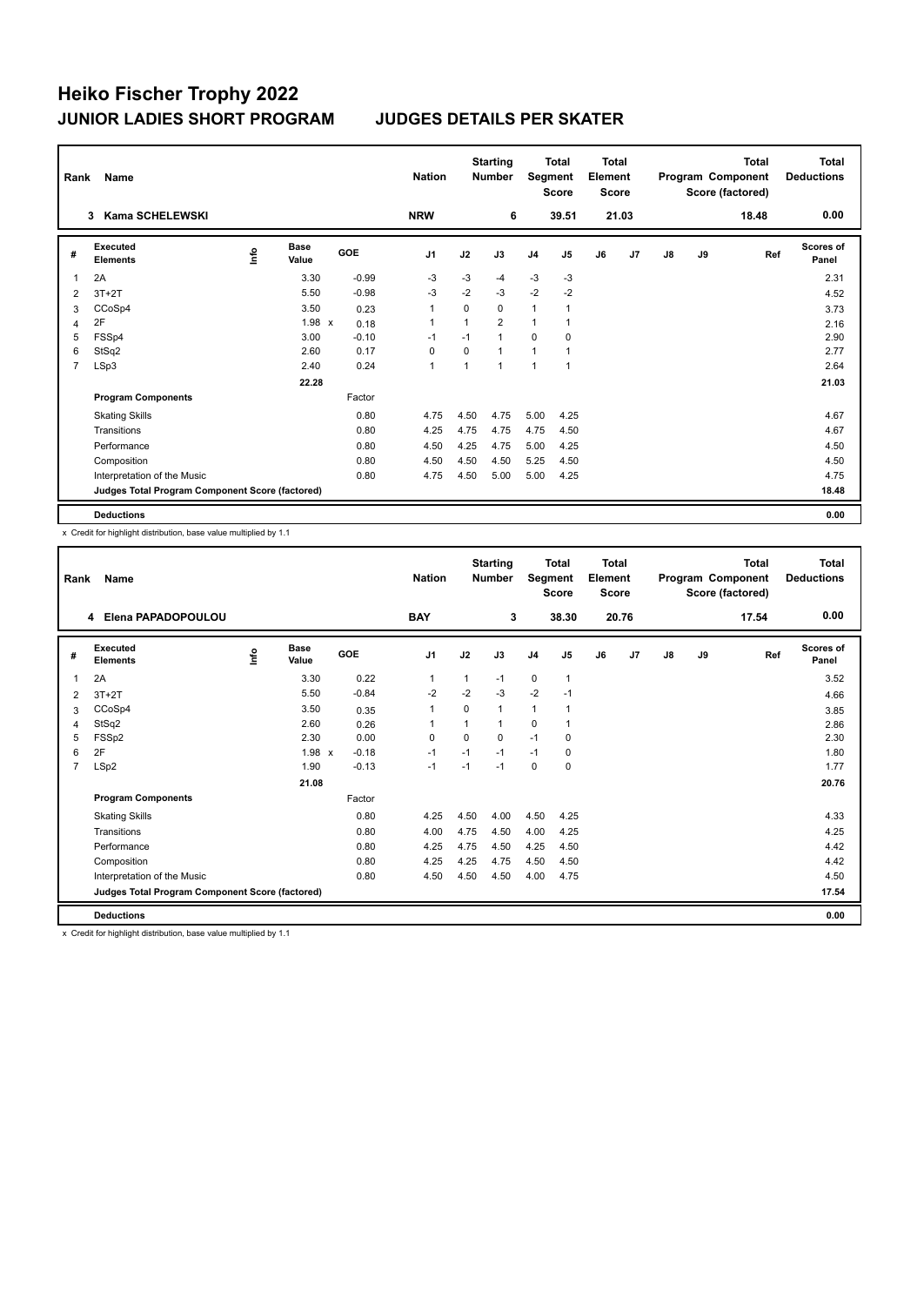| Rank           | Name                                            |      |                      |         | <b>Nation</b>  |                | <b>Starting</b><br><b>Number</b> | Segment        | <b>Total</b><br><b>Score</b> | Total<br>Element<br><b>Score</b> |       |    |    | <b>Total</b><br>Program Component<br>Score (factored) | Total<br><b>Deductions</b> |
|----------------|-------------------------------------------------|------|----------------------|---------|----------------|----------------|----------------------------------|----------------|------------------------------|----------------------------------|-------|----|----|-------------------------------------------------------|----------------------------|
|                | Kama SCHELEWSKI<br>3                            |      |                      |         | <b>NRW</b>     |                | 6                                |                | 39.51                        |                                  | 21.03 |    |    | 18.48                                                 | 0.00                       |
| #              | <b>Executed</b><br><b>Elements</b>              | ١nfo | <b>Base</b><br>Value | GOE     | J <sub>1</sub> | J2             | J3                               | J <sub>4</sub> | J5                           | J6                               | J7    | J8 | J9 | Ref                                                   | Scores of<br>Panel         |
| 1              | 2A                                              |      | 3.30                 | $-0.99$ | $-3$           | $-3$           | $-4$                             | $-3$           | $-3$                         |                                  |       |    |    |                                                       | 2.31                       |
| 2              | $3T+2T$                                         |      | 5.50                 | $-0.98$ | $-3$           | $-2$           | $-3$                             | $-2$           | $-2$                         |                                  |       |    |    |                                                       | 4.52                       |
| 3              | CCoSp4                                          |      | 3.50                 | 0.23    | 1              | 0              | 0                                | 1              |                              |                                  |       |    |    |                                                       | 3.73                       |
| 4              | 2F                                              |      | 1.98 x               | 0.18    | 1              | $\mathbf{1}$   | $\overline{2}$                   | 1              |                              |                                  |       |    |    |                                                       | 2.16                       |
| 5              | FSSp4                                           |      | 3.00                 | $-0.10$ | $-1$           | $-1$           | $\mathbf{1}$                     | 0              | 0                            |                                  |       |    |    |                                                       | 2.90                       |
| 6              | StSq2                                           |      | 2.60                 | 0.17    | $\Omega$       | $\Omega$       | 1                                | 1              |                              |                                  |       |    |    |                                                       | 2.77                       |
| $\overline{7}$ | LSp3                                            |      | 2.40                 | 0.24    | $\overline{1}$ | $\overline{1}$ | 1                                | 1              | $\overline{1}$               |                                  |       |    |    |                                                       | 2.64                       |
|                |                                                 |      | 22.28                |         |                |                |                                  |                |                              |                                  |       |    |    |                                                       | 21.03                      |
|                | <b>Program Components</b>                       |      |                      | Factor  |                |                |                                  |                |                              |                                  |       |    |    |                                                       |                            |
|                | <b>Skating Skills</b>                           |      |                      | 0.80    | 4.75           | 4.50           | 4.75                             | 5.00           | 4.25                         |                                  |       |    |    |                                                       | 4.67                       |
|                | Transitions                                     |      |                      | 0.80    | 4.25           | 4.75           | 4.75                             | 4.75           | 4.50                         |                                  |       |    |    |                                                       | 4.67                       |
|                | Performance                                     |      |                      | 0.80    | 4.50           | 4.25           | 4.75                             | 5.00           | 4.25                         |                                  |       |    |    |                                                       | 4.50                       |
|                | Composition                                     |      |                      | 0.80    | 4.50           | 4.50           | 4.50                             | 5.25           | 4.50                         |                                  |       |    |    |                                                       | 4.50                       |
|                | Interpretation of the Music                     |      |                      | 0.80    | 4.75           | 4.50           | 5.00                             | 5.00           | 4.25                         |                                  |       |    |    |                                                       | 4.75                       |
|                | Judges Total Program Component Score (factored) |      |                      |         |                |                |                                  |                |                              |                                  |       |    |    |                                                       | 18.48                      |
|                | <b>Deductions</b>                               |      |                      |         |                |                |                                  |                |                              |                                  |       |    |    |                                                       | 0.00                       |

x Credit for highlight distribution, base value multiplied by 1.1

| Rank           | Name                                            |      |                      |         | <b>Nation</b>  |          | <b>Starting</b><br><b>Number</b> |                | Total<br>Segment<br><b>Score</b> | Total<br>Element<br><b>Score</b> |       |    |    | Total<br>Program Component<br>Score (factored) | <b>Total</b><br><b>Deductions</b> |
|----------------|-------------------------------------------------|------|----------------------|---------|----------------|----------|----------------------------------|----------------|----------------------------------|----------------------------------|-------|----|----|------------------------------------------------|-----------------------------------|
|                | Elena PAPADOPOULOU<br>4                         |      |                      |         | <b>BAY</b>     |          | 3                                |                | 38.30                            |                                  | 20.76 |    |    | 17.54                                          | 0.00                              |
| #              | Executed<br><b>Elements</b>                     | lnfo | <b>Base</b><br>Value | GOE     | J <sub>1</sub> | J2       | J3                               | J <sub>4</sub> | J5                               | J6                               | J7    | J8 | J9 | Ref                                            | Scores of<br>Panel                |
| -1             | 2A                                              |      | 3.30                 | 0.22    | 1              | 1        | $-1$                             | 0              | $\mathbf{1}$                     |                                  |       |    |    |                                                | 3.52                              |
| 2              | $3T+2T$                                         |      | 5.50                 | $-0.84$ | $-2$           | $-2$     | $-3$                             | $-2$           | $-1$                             |                                  |       |    |    |                                                | 4.66                              |
| 3              | CCoSp4                                          |      | 3.50                 | 0.35    | $\mathbf{1}$   | $\Omega$ | $\mathbf{1}$                     | $\mathbf{1}$   | 1                                |                                  |       |    |    |                                                | 3.85                              |
| 4              | StSq2                                           |      | 2.60                 | 0.26    | 1              |          | 1                                | 0              |                                  |                                  |       |    |    |                                                | 2.86                              |
| 5              | FSSp2                                           |      | 2.30                 | 0.00    | $\Omega$       | $\Omega$ | $\Omega$                         | $-1$           | $\Omega$                         |                                  |       |    |    |                                                | 2.30                              |
| 6              | 2F                                              |      | $1.98 \times$        | $-0.18$ | $-1$           | $-1$     | $-1$                             | $-1$           | 0                                |                                  |       |    |    |                                                | 1.80                              |
| $\overline{7}$ | LSp2                                            |      | 1.90                 | $-0.13$ | $-1$           | $-1$     | $-1$                             | 0              | 0                                |                                  |       |    |    |                                                | 1.77                              |
|                |                                                 |      | 21.08                |         |                |          |                                  |                |                                  |                                  |       |    |    |                                                | 20.76                             |
|                | <b>Program Components</b>                       |      |                      | Factor  |                |          |                                  |                |                                  |                                  |       |    |    |                                                |                                   |
|                | <b>Skating Skills</b>                           |      |                      | 0.80    | 4.25           | 4.50     | 4.00                             | 4.50           | 4.25                             |                                  |       |    |    |                                                | 4.33                              |
|                | Transitions                                     |      |                      | 0.80    | 4.00           | 4.75     | 4.50                             | 4.00           | 4.25                             |                                  |       |    |    |                                                | 4.25                              |
|                | Performance                                     |      |                      | 0.80    | 4.25           | 4.75     | 4.50                             | 4.25           | 4.50                             |                                  |       |    |    |                                                | 4.42                              |
|                | Composition                                     |      |                      | 0.80    | 4.25           | 4.25     | 4.75                             | 4.50           | 4.50                             |                                  |       |    |    |                                                | 4.42                              |
|                | Interpretation of the Music                     |      |                      | 0.80    | 4.50           | 4.50     | 4.50                             | 4.00           | 4.75                             |                                  |       |    |    |                                                | 4.50                              |
|                | Judges Total Program Component Score (factored) |      |                      |         |                |          |                                  |                |                                  |                                  |       |    |    |                                                | 17.54                             |
|                | <b>Deductions</b>                               |      |                      |         |                |          |                                  |                |                                  |                                  |       |    |    |                                                | 0.00                              |

x Credit for highlight distribution, base value multiplied by 1.1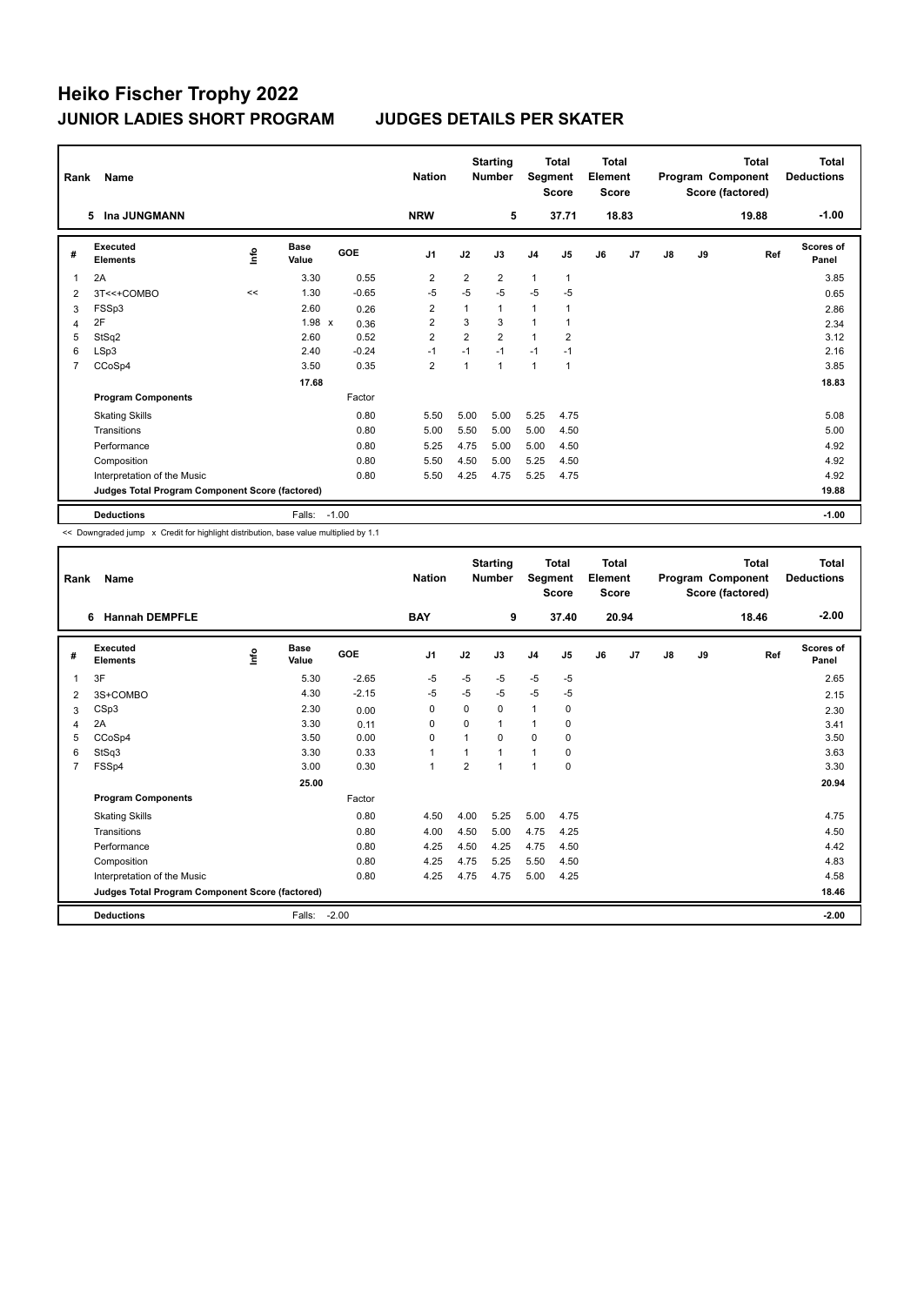|                | Name<br>Rank                                    |      |                      |            | <b>Nation</b>  |                | <b>Starting</b><br><b>Number</b> |                | <b>Total</b><br>Segment<br><b>Score</b> | <b>Total</b><br>Element<br><b>Score</b> |                |               |    | <b>Total</b><br>Program Component<br>Score (factored) | <b>Total</b><br><b>Deductions</b> |
|----------------|-------------------------------------------------|------|----------------------|------------|----------------|----------------|----------------------------------|----------------|-----------------------------------------|-----------------------------------------|----------------|---------------|----|-------------------------------------------------------|-----------------------------------|
|                | 5 Ina JUNGMANN                                  |      |                      |            | <b>NRW</b>     |                | 5                                |                | 37.71                                   |                                         | 18.83          |               |    | 19.88                                                 | $-1.00$                           |
| #              | Executed<br><b>Elements</b>                     | Info | <b>Base</b><br>Value | <b>GOE</b> | J <sub>1</sub> | J2             | J3                               | J <sub>4</sub> | J <sub>5</sub>                          | J6                                      | J <sub>7</sub> | $\mathsf{J}8$ | J9 | Ref                                                   | Scores of<br>Panel                |
| 1              | 2A                                              |      | 3.30                 | 0.55       | 2              | $\overline{2}$ | $\overline{2}$                   | $\mathbf{1}$   | $\mathbf{1}$                            |                                         |                |               |    |                                                       | 3.85                              |
| 2              | 3T<<+COMBO                                      | <<   | 1.30                 | $-0.65$    | $-5$           | $-5$           | $-5$                             | $-5$           | $-5$                                    |                                         |                |               |    |                                                       | 0.65                              |
| 3              | FSSp3                                           |      | 2.60                 | 0.26       | 2              | 1              | $\mathbf{1}$                     | $\mathbf{1}$   | 1                                       |                                         |                |               |    |                                                       | 2.86                              |
| 4              | 2F                                              |      | 1.98 x               | 0.36       | $\overline{2}$ | 3              | 3                                | $\mathbf{1}$   | 1                                       |                                         |                |               |    |                                                       | 2.34                              |
| 5              | StSq2                                           |      | 2.60                 | 0.52       | $\overline{2}$ | $\overline{2}$ | $\overline{2}$                   | $\mathbf{1}$   | $\overline{2}$                          |                                         |                |               |    |                                                       | 3.12                              |
| 6              | LSp3                                            |      | 2.40                 | $-0.24$    | $-1$           | $-1$           | $-1$                             | $-1$           | $-1$                                    |                                         |                |               |    |                                                       | 2.16                              |
| $\overline{7}$ | CCoSp4                                          |      | 3.50                 | 0.35       | $\overline{2}$ | $\overline{1}$ | $\mathbf{1}$                     | $\mathbf{1}$   | $\mathbf{1}$                            |                                         |                |               |    |                                                       | 3.85                              |
|                |                                                 |      | 17.68                |            |                |                |                                  |                |                                         |                                         |                |               |    |                                                       | 18.83                             |
|                | <b>Program Components</b>                       |      |                      | Factor     |                |                |                                  |                |                                         |                                         |                |               |    |                                                       |                                   |
|                | <b>Skating Skills</b>                           |      |                      | 0.80       | 5.50           | 5.00           | 5.00                             | 5.25           | 4.75                                    |                                         |                |               |    |                                                       | 5.08                              |
|                | Transitions                                     |      |                      | 0.80       | 5.00           | 5.50           | 5.00                             | 5.00           | 4.50                                    |                                         |                |               |    |                                                       | 5.00                              |
|                | Performance                                     |      |                      | 0.80       | 5.25           | 4.75           | 5.00                             | 5.00           | 4.50                                    |                                         |                |               |    |                                                       | 4.92                              |
|                | Composition                                     |      |                      | 0.80       | 5.50           | 4.50           | 5.00                             | 5.25           | 4.50                                    |                                         |                |               |    |                                                       | 4.92                              |
|                | Interpretation of the Music                     |      |                      | 0.80       | 5.50           | 4.25           | 4.75                             | 5.25           | 4.75                                    |                                         |                |               |    |                                                       | 4.92                              |
|                | Judges Total Program Component Score (factored) |      |                      |            |                |                |                                  |                |                                         |                                         |                |               |    |                                                       | 19.88                             |
|                | <b>Deductions</b>                               |      | Falls:               | $-1.00$    |                |                |                                  |                |                                         |                                         |                |               |    |                                                       | $-1.00$                           |

<< Downgraded jump x Credit for highlight distribution, base value multiplied by 1.1

| Rank           | <b>Name</b>                                     |      |                      |         | <b>Nation</b>  |                | <b>Starting</b><br><b>Number</b> |                | <b>Total</b><br>Segment<br><b>Score</b> | <b>Total</b><br>Element<br><b>Score</b><br>20.94 |    |    |    | <b>Total</b><br>Program Component<br>Score (factored) | <b>Total</b><br><b>Deductions</b> |
|----------------|-------------------------------------------------|------|----------------------|---------|----------------|----------------|----------------------------------|----------------|-----------------------------------------|--------------------------------------------------|----|----|----|-------------------------------------------------------|-----------------------------------|
|                | 6 Hannah DEMPFLE                                |      |                      |         | <b>BAY</b>     |                | 9                                |                | 37.40                                   |                                                  |    |    |    | 18.46                                                 | $-2.00$                           |
| #              | <b>Executed</b><br><b>Elements</b>              | lnfo | <b>Base</b><br>Value | GOE     | J <sub>1</sub> | J2             | J3                               | J <sub>4</sub> | J5                                      | J6                                               | J7 | J8 | J9 | Ref                                                   | <b>Scores of</b><br>Panel         |
| $\mathbf{1}$   | 3F                                              |      | 5.30                 | $-2.65$ | $-5$           | $-5$           | $-5$                             | $-5$           | $-5$                                    |                                                  |    |    |    |                                                       | 2.65                              |
| 2              | 3S+COMBO                                        |      | 4.30                 | $-2.15$ | $-5$           | $-5$           | $-5$                             | $-5$           | $-5$                                    |                                                  |    |    |    |                                                       | 2.15                              |
| 3              | CSp3                                            |      | 2.30                 | 0.00    | $\Omega$       | $\Omega$       | $\Omega$                         | $\mathbf{1}$   | 0                                       |                                                  |    |    |    |                                                       | 2.30                              |
| 4              | 2A                                              |      | 3.30                 | 0.11    | $\mathbf 0$    | $\Omega$       | 1                                | $\mathbf{1}$   | 0                                       |                                                  |    |    |    |                                                       | 3.41                              |
| 5              | CCoSp4                                          |      | 3.50                 | 0.00    | $\mathbf 0$    | 1              | 0                                | $\mathbf 0$    | 0                                       |                                                  |    |    |    |                                                       | 3.50                              |
| 6              | StSq3                                           |      | 3.30                 | 0.33    | $\mathbf{1}$   |                | 1                                | $\mathbf{1}$   | 0                                       |                                                  |    |    |    |                                                       | 3.63                              |
| $\overline{7}$ | FSSp4                                           |      | 3.00                 | 0.30    | $\mathbf{1}$   | $\overline{2}$ | 1                                | 1              | $\Omega$                                |                                                  |    |    |    |                                                       | 3.30                              |
|                |                                                 |      | 25.00                |         |                |                |                                  |                |                                         |                                                  |    |    |    |                                                       | 20.94                             |
|                | <b>Program Components</b>                       |      |                      | Factor  |                |                |                                  |                |                                         |                                                  |    |    |    |                                                       |                                   |
|                | <b>Skating Skills</b>                           |      |                      | 0.80    | 4.50           | 4.00           | 5.25                             | 5.00           | 4.75                                    |                                                  |    |    |    |                                                       | 4.75                              |
|                | Transitions                                     |      |                      | 0.80    | 4.00           | 4.50           | 5.00                             | 4.75           | 4.25                                    |                                                  |    |    |    |                                                       | 4.50                              |
|                | Performance                                     |      |                      | 0.80    | 4.25           | 4.50           | 4.25                             | 4.75           | 4.50                                    |                                                  |    |    |    |                                                       | 4.42                              |
|                | Composition                                     |      |                      | 0.80    | 4.25           | 4.75           | 5.25                             | 5.50           | 4.50                                    |                                                  |    |    |    |                                                       | 4.83                              |
|                | Interpretation of the Music                     |      |                      | 0.80    | 4.25           | 4.75           | 4.75                             | 5.00           | 4.25                                    |                                                  |    |    |    |                                                       | 4.58                              |
|                | Judges Total Program Component Score (factored) |      |                      |         |                |                |                                  |                |                                         |                                                  |    |    |    |                                                       | 18.46                             |
|                | <b>Deductions</b>                               |      | Falls:               | $-2.00$ |                |                |                                  |                |                                         |                                                  |    |    |    |                                                       | $-2.00$                           |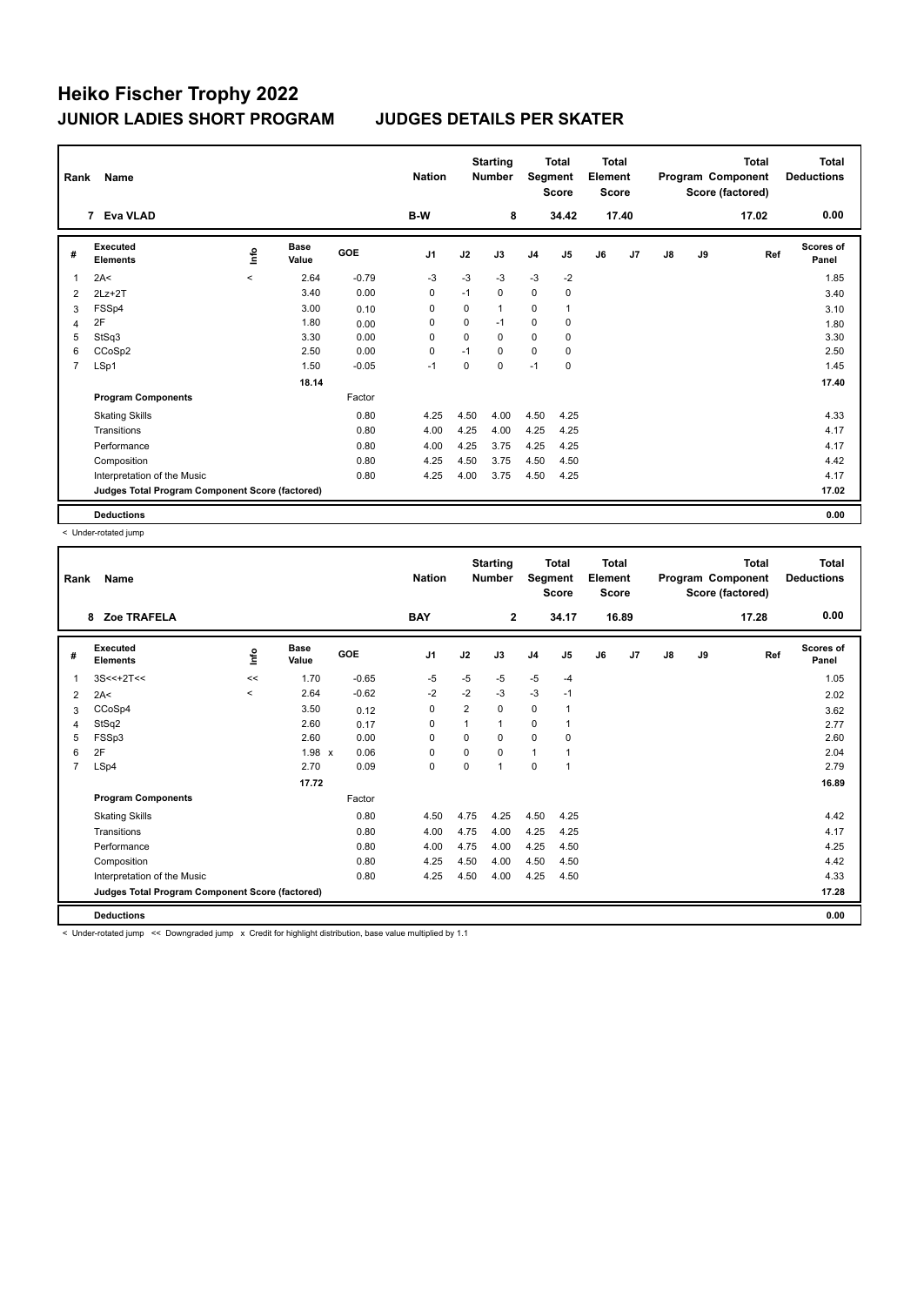| Rank | Name                                            |                     |                      |         |                | <b>Starting</b><br><b>Nation</b><br><b>Number</b> |              | <b>Total</b><br>Segment<br><b>Score</b> |                | <b>Total</b><br>Element<br><b>Score</b> |       |               |    | <b>Total</b><br>Program Component<br>Score (factored) | <b>Total</b><br><b>Deductions</b> |
|------|-------------------------------------------------|---------------------|----------------------|---------|----------------|---------------------------------------------------|--------------|-----------------------------------------|----------------|-----------------------------------------|-------|---------------|----|-------------------------------------------------------|-----------------------------------|
|      | 7 Eva VLAD                                      |                     |                      |         | B-W            |                                                   | 8            |                                         | 34.42          |                                         | 17.40 |               |    | 17.02                                                 | 0.00                              |
| #    | Executed<br><b>Elements</b>                     | <u>info</u>         | <b>Base</b><br>Value | GOE     | J <sub>1</sub> | J2                                                | J3           | J <sub>4</sub>                          | J <sub>5</sub> | J6                                      | J7    | $\mathsf{J}8$ | J9 | Ref                                                   | <b>Scores of</b><br>Panel         |
|      | 2A<                                             | $\hat{\phantom{a}}$ | 2.64                 | $-0.79$ | $-3$           | $-3$                                              | $-3$         | $-3$                                    | $-2$           |                                         |       |               |    |                                                       | 1.85                              |
| 2    | $2Lz+2T$                                        |                     | 3.40                 | 0.00    | 0              | $-1$                                              | $\mathbf 0$  | $\mathbf 0$                             | 0              |                                         |       |               |    |                                                       | 3.40                              |
| 3    | FSSp4                                           |                     | 3.00                 | 0.10    | 0              | 0                                                 | $\mathbf{1}$ | $\mathbf 0$                             | $\overline{1}$ |                                         |       |               |    |                                                       | 3.10                              |
| 4    | 2F                                              |                     | 1.80                 | 0.00    | 0              | 0                                                 | $-1$         | 0                                       | 0              |                                         |       |               |    |                                                       | 1.80                              |
| 5    | StSq3                                           |                     | 3.30                 | 0.00    | 0              | 0                                                 | $\Omega$     | 0                                       | 0              |                                         |       |               |    |                                                       | 3.30                              |
| 6    | CCoSp2                                          |                     | 2.50                 | 0.00    | 0              | $-1$                                              | $\Omega$     | $\mathbf 0$                             | 0              |                                         |       |               |    |                                                       | 2.50                              |
| 7    | LSp1                                            |                     | 1.50                 | $-0.05$ | $-1$           | 0                                                 | $\mathbf 0$  | $-1$                                    | $\pmb{0}$      |                                         |       |               |    |                                                       | 1.45                              |
|      |                                                 |                     | 18.14                |         |                |                                                   |              |                                         |                |                                         |       |               |    |                                                       | 17.40                             |
|      | <b>Program Components</b>                       |                     |                      | Factor  |                |                                                   |              |                                         |                |                                         |       |               |    |                                                       |                                   |
|      | <b>Skating Skills</b>                           |                     |                      | 0.80    | 4.25           | 4.50                                              | 4.00         | 4.50                                    | 4.25           |                                         |       |               |    |                                                       | 4.33                              |
|      | Transitions                                     |                     |                      | 0.80    | 4.00           | 4.25                                              | 4.00         | 4.25                                    | 4.25           |                                         |       |               |    |                                                       | 4.17                              |
|      | Performance                                     |                     |                      | 0.80    | 4.00           | 4.25                                              | 3.75         | 4.25                                    | 4.25           |                                         |       |               |    |                                                       | 4.17                              |
|      | Composition                                     |                     |                      | 0.80    | 4.25           | 4.50                                              | 3.75         | 4.50                                    | 4.50           |                                         |       |               |    |                                                       | 4.42                              |
|      | Interpretation of the Music                     |                     |                      | 0.80    | 4.25           | 4.00                                              | 3.75         | 4.50                                    | 4.25           |                                         |       |               |    |                                                       | 4.17                              |
|      | Judges Total Program Component Score (factored) |                     |                      |         |                |                                                   |              |                                         |                |                                         |       |               |    |                                                       | 17.02                             |
|      | <b>Deductions</b>                               |                     |                      |         |                |                                                   |              |                                         |                |                                         |       |               |    |                                                       | 0.00                              |

< Under-rotated jump

| Rank           | Name                                            |                          |                      |         | <b>Nation</b>  |                | <b>Starting</b><br><b>Total</b><br>Segment<br><b>Number</b><br><b>Score</b> |                | Total<br>Element<br><b>Score</b> |    | Program Component |    | <b>Total</b><br>Score (factored) | <b>Total</b><br><b>Deductions</b> |                           |
|----------------|-------------------------------------------------|--------------------------|----------------------|---------|----------------|----------------|-----------------------------------------------------------------------------|----------------|----------------------------------|----|-------------------|----|----------------------------------|-----------------------------------|---------------------------|
|                | Zoe TRAFELA<br>8                                |                          |                      |         | <b>BAY</b>     |                | $\overline{2}$                                                              |                | 34.17                            |    | 16.89             |    |                                  | 17.28                             | 0.00                      |
| #              | <b>Executed</b><br><b>Elements</b>              | lnfo                     | <b>Base</b><br>Value | GOE     | J <sub>1</sub> | J2             | J3                                                                          | J <sub>4</sub> | J5                               | J6 | J7                | J8 | J9                               | Ref                               | <b>Scores of</b><br>Panel |
| 1              | $3S<<+2T<<$                                     | <<                       | 1.70                 | $-0.65$ | $-5$           | $-5$           | $-5$                                                                        | $-5$           | $-4$                             |    |                   |    |                                  |                                   | 1.05                      |
| $\overline{2}$ | 2A<                                             | $\overline{\phantom{0}}$ | 2.64                 | $-0.62$ | $-2$           | $-2$           | $-3$                                                                        | $-3$           | $-1$                             |    |                   |    |                                  |                                   | 2.02                      |
| 3              | CCoSp4                                          |                          | 3.50                 | 0.12    | 0              | $\overline{2}$ | 0                                                                           | 0              | 1                                |    |                   |    |                                  |                                   | 3.62                      |
| 4              | StSq2                                           |                          | 2.60                 | 0.17    | $\Omega$       | 1              | 1                                                                           | $\Omega$       | 1                                |    |                   |    |                                  |                                   | 2.77                      |
| 5              | FSSp3                                           |                          | 2.60                 | 0.00    | $\Omega$       | 0              | 0                                                                           | $\mathbf 0$    | 0                                |    |                   |    |                                  |                                   | 2.60                      |
| 6              | 2F                                              |                          | $1.98 \times$        | 0.06    | $\Omega$       | 0              | $\Omega$                                                                    | $\mathbf{1}$   |                                  |    |                   |    |                                  |                                   | 2.04                      |
| $\overline{7}$ | LSp4                                            |                          | 2.70                 | 0.09    | 0              | 0              | 1                                                                           | $\mathbf 0$    | 1                                |    |                   |    |                                  |                                   | 2.79                      |
|                |                                                 |                          | 17.72                |         |                |                |                                                                             |                |                                  |    |                   |    |                                  |                                   | 16.89                     |
|                | <b>Program Components</b>                       |                          |                      | Factor  |                |                |                                                                             |                |                                  |    |                   |    |                                  |                                   |                           |
|                | <b>Skating Skills</b>                           |                          |                      | 0.80    | 4.50           | 4.75           | 4.25                                                                        | 4.50           | 4.25                             |    |                   |    |                                  |                                   | 4.42                      |
|                | Transitions                                     |                          |                      | 0.80    | 4.00           | 4.75           | 4.00                                                                        | 4.25           | 4.25                             |    |                   |    |                                  |                                   | 4.17                      |
|                | Performance                                     |                          |                      | 0.80    | 4.00           | 4.75           | 4.00                                                                        | 4.25           | 4.50                             |    |                   |    |                                  |                                   | 4.25                      |
|                | Composition                                     |                          |                      | 0.80    | 4.25           | 4.50           | 4.00                                                                        | 4.50           | 4.50                             |    |                   |    |                                  |                                   | 4.42                      |
|                | Interpretation of the Music                     |                          |                      | 0.80    | 4.25           | 4.50           | 4.00                                                                        | 4.25           | 4.50                             |    |                   |    |                                  |                                   | 4.33                      |
|                | Judges Total Program Component Score (factored) |                          |                      |         |                |                |                                                                             |                |                                  |    |                   |    |                                  |                                   | 17.28                     |
|                | <b>Deductions</b>                               |                          |                      |         |                |                |                                                                             |                |                                  |    |                   |    |                                  |                                   | 0.00                      |

< Under-rotated jump << Downgraded jump x Credit for highlight distribution, base value multiplied by 1.1